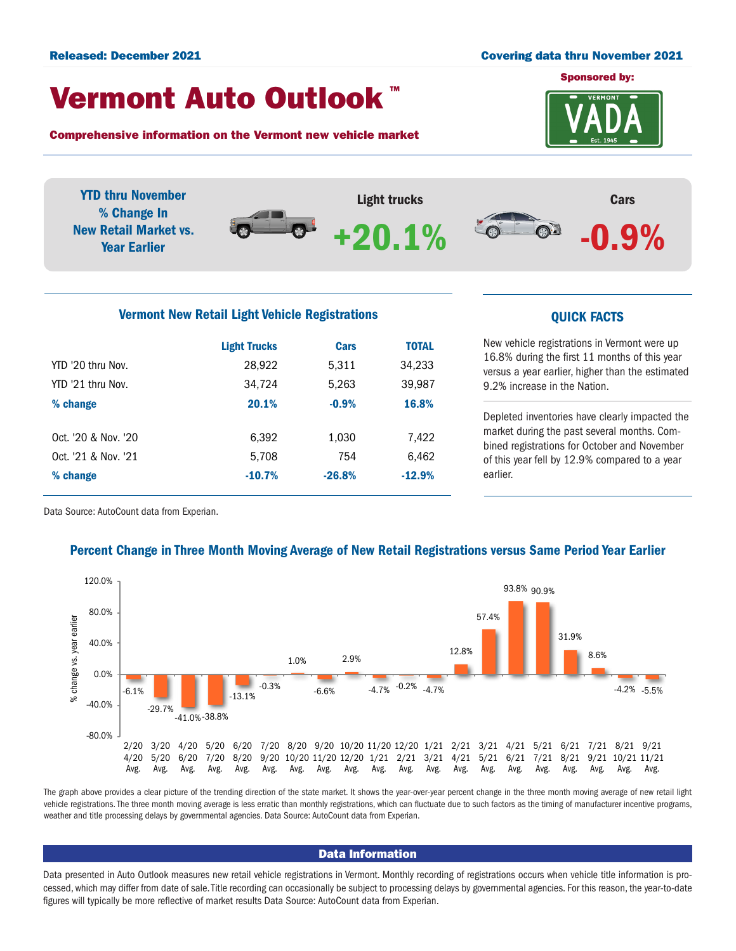#### Released: December 2021 Covering data thru November 2021

# Vermont Auto Outlook TM

Comprehensive information on the Vermont new vehicle market



YTD thru November Light trucks Cars % Change In  $\bullet$ New Retail Market vs. +20.1% $\odot$ -0.9% Year Earlier Vermont New Retail Light Vehicle Registrations **COVID-10** COVICK FACTS

|                     | <b>Light Trucks</b> | Cars     | <b>TOTAL</b> |  |
|---------------------|---------------------|----------|--------------|--|
| YTD '20 thru Nov.   | 28,922              | 5,311    | 34,233       |  |
| YTD '21 thru Nov.   | 34,724              | 5,263    | 39,987       |  |
| % change            | 20.1%               | $-0.9%$  | 16.8%        |  |
|                     |                     |          |              |  |
| Oct. '20 & Nov. '20 | 6.392               | 1,030    | 7,422        |  |
| Oct. '21 & Nov. '21 | 5.708               | 754      | 6,462        |  |
| % change            | $-10.7%$            | $-26.8%$ | $-12.9%$     |  |
|                     |                     |          |              |  |

New vehicle registrations in Vermont were up 16.8% during the first 11 months of this year versus a year earlier, higher than the estimated 9.2% increase in the Nation.

Depleted inventories have clearly impacted the market during the past several months. Combined registrations for October and November of this year fell by 12.9% compared to a year earlier.

Data Source: AutoCount data from Experian.

## Percent Change in Three Month Moving Average of New Retail Registrations versus Same Period Year Earlier



The graph above provides a clear picture of the trending direction of the state market. It shows the year-over-year percent change in the three month moving average of new retail light vehicle registrations. The three month moving average is less erratic than monthly registrations, which can fluctuate due to such factors as the timing of manufacturer incentive programs, weather and title processing delays by governmental agencies. Data Source: AutoCount data from Experian.

#### Data Information

Data presented in Auto Outlook measures new retail vehicle registrations in Vermont. Monthly recording of registrations occurs when vehicle title information is processed, which may differ from date of sale. Title recording can occasionally be subject to processing delays by governmental agencies. For this reason, the year-to-date figures will typically be more reflective of market results Data Source: AutoCount data from Experian.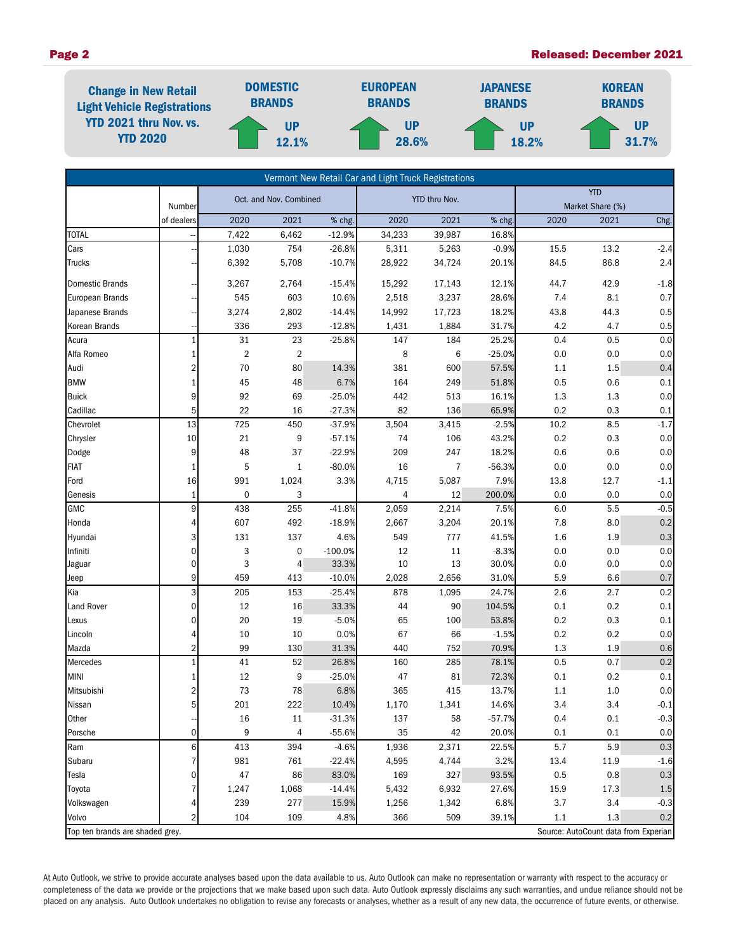### Page 2 Released: December 2021



| Vermont New Retail Car and Light Truck Registrations                    |                  |                        |                |                 |          |                                |                  |                   |            |            |
|-------------------------------------------------------------------------|------------------|------------------------|----------------|-----------------|----------|--------------------------------|------------------|-------------------|------------|------------|
|                                                                         | Number           | Oct. and Nov. Combined |                | YTD thru Nov.   |          | <b>YTD</b><br>Market Share (%) |                  |                   |            |            |
|                                                                         | of dealers       | 2020                   | 2021           | % chg.          | 2020     | 2021                           | % chg.           | 2020              | 2021       | Chg.       |
| <b>TOTAL</b>                                                            |                  | 7,422                  | 6,462          | $-12.9%$        | 34,233   | 39,987                         | 16.8%            |                   |            |            |
| Cars                                                                    |                  | 1,030                  | 754            | $-26.8%$        | 5,311    | 5,263                          | $-0.9%$          | $\overline{15.5}$ | 13.2       | $-2.4$     |
| <b>Trucks</b>                                                           |                  | 6,392                  | 5,708          | $-10.7%$        | 28,922   | 34,724                         | 20.1%            | 84.5              | 86.8       | 2.4        |
| Domestic Brands                                                         |                  | 3,267                  | 2,764          | $-15.4%$        | 15,292   | 17,143                         | 12.1%            | 44.7              | 42.9       | $-1.8$     |
| European Brands                                                         |                  | 545                    | 603            | 10.6%           | 2,518    | 3,237                          | 28.6%            | 7.4               | 8.1        | 0.7        |
| Japanese Brands                                                         |                  | 3,274                  | 2,802          | $-14.4%$        | 14,992   | 17,723                         | 18.2%            | 43.8              | 44.3       | 0.5        |
| Korean Brands                                                           |                  | 336                    | 293            | $-12.8%$        | 1,431    | 1,884                          | 31.7%            | 4.2               | 4.7        | 0.5        |
| Acura                                                                   | $\mathbf{1}$     | 31                     | 23             | $-25.8%$        | 147      | 184                            | 25.2%            | 0.4               | 0.5        | 0.0        |
| Alfa Romeo                                                              |                  | $\overline{2}$         | $\overline{2}$ |                 | 8        | 6                              | $-25.0%$         | 0.0               | 0.0        | 0.0        |
| Audi                                                                    | 2                | 70                     | 80             | 14.3%           | 381      | 600                            | 57.5%            | 1.1               | 1.5        | 0.4        |
| <b>BMW</b>                                                              |                  | 45                     | 48             | 6.7%            | 164      | 249                            | 51.8%            | 0.5               | 0.6        | 0.1        |
| <b>Buick</b>                                                            | 9                | 92                     | 69             | $-25.0%$        | 442      | 513                            | 16.1%            | 1.3               | 1.3        | $0.0\,$    |
| Cadillac                                                                | 5                | 22                     | 16             | $-27.3%$        | 82       | 136                            | 65.9%            | 0.2               | 0.3        | 0.1        |
| Chevrolet                                                               | 13               | 725                    | 450            | $-37.9%$        | 3,504    | 3,415                          | $-2.5%$          | 10.2              | 8.5        | $-1.7$     |
| Chrysler                                                                | 10               | 21                     | 9              | $-57.1%$        | 74       | 106                            | 43.2%            | 0.2               | 0.3        | 0.0        |
| Dodge                                                                   | 9                | 48                     | 37             | $-22.9%$        | 209      | 247                            | 18.2%            | 0.6               | 0.6        | 0.0        |
| FIAT                                                                    | 1                | 5                      | $\mathbf{1}$   | $-80.0%$        | 16       | 7                              | $-56.3%$         | 0.0               | 0.0        | 0.0        |
| Ford                                                                    | 16               | 991                    | 1,024          | 3.3%            | 4,715    | 5,087                          | 7.9%             | 13.8              | 12.7       | $-1.1$     |
| Genesis                                                                 | 1                | $\pmb{0}$              | 3              |                 | 4        | 12                             | 200.0%           | 0.0               | 0.0        | 0.0        |
| <b>GMC</b>                                                              | 9                | 438                    | 255            | $-41.8%$        | 2,059    | 2,214                          | 7.5%             | 6.0               | 5.5        | $-0.5$     |
| Honda                                                                   | 4                | 607                    | 492            | $-18.9%$        | 2,667    | 3,204                          | 20.1%            | 7.8               | 8.0        | 0.2        |
| Hyundai                                                                 | 3                | 131                    | 137            | 4.6%            | 549      | 777                            | 41.5%            | 1.6               | 1.9        | $0.3\,$    |
| Infiniti                                                                | 0                | 3                      | $\pmb{0}$      | $-100.0%$       | 12       | 11                             | $-8.3%$          | 0.0               | 0.0        | 0.0        |
| Jaguar                                                                  | 0                | 3                      | 4              | 33.3%           | 10       | 13                             | 30.0%            | 0.0               | 0.0        | $0.0\,$    |
| Jeep                                                                    | 9                | 459                    | 413            | $-10.0%$        | 2,028    | 2,656                          | 31.0%            | 5.9               | 6.6        | 0.7        |
| Kia                                                                     | 3<br>$\mathbf 0$ | 205                    | 153            | $-25.4%$        | 878      | 1,095                          | 24.7%            | 2.6               | 2.7        | 0.2        |
| Land Rover                                                              | 0                | 12                     | 16             | 33.3%           | 44       | 90                             | 104.5%           | 0.1               | 0.2        | $0.1\,$    |
| Lexus                                                                   |                  | 20<br>10               | 19<br>10       | $-5.0%$<br>0.0% | 65<br>67 | 100                            | 53.8%<br>$-1.5%$ | 0.2<br>0.2        | 0.3<br>0.2 | 0.1<br>0.0 |
| Lincoln<br>Mazda                                                        | 2                | 99                     | 130            | 31.3%           | 440      | 66<br>752                      | 70.9%            | 1.3               | 1.9        | 0.6        |
| Mercedes                                                                | $\mathbf{1}$     | 41                     | 52             | 26.8%           | 160      | 285                            | 78.1%            | 0.5               | 0.7        | 0.2        |
| <b>MINI</b>                                                             | 1                | 12                     | 9              | $-25.0%$        | 47       | 81                             | 72.3%            | 0.1               | 0.2        | 0.1        |
| Mitsubishi                                                              | 2                | 73                     | 78             | 6.8%            | 365      | 415                            | 13.7%            | 1.1               | $1.0$      | 0.0        |
| Nissan                                                                  | 5 <sup>1</sup>   | 201                    | 222            | 10.4%           | 1,170    | 1,341                          | 14.6%            | 3.4               | 3.4        | $-0.1$     |
| Other                                                                   |                  | 16                     | 11             | $-31.3%$        | 137      | 58                             | $-57.7%$         | 0.4               | 0.1        | $-0.3$     |
| Porsche                                                                 | $\overline{0}$   | 9                      | 4              | $-55.6%$        | 35       | 42                             | 20.0%            | 0.1               | 0.1        | 0.0        |
| Ram                                                                     | 6                | 413                    | 394            | $-4.6%$         | 1,936    | 2,371                          | 22.5%            | 5.7               | 5.9        | 0.3        |
| Subaru                                                                  |                  | 981                    | 761            | $-22.4%$        | 4,595    | 4,744                          | 3.2%             | 13.4              | 11.9       | $-1.6$     |
| Tesla                                                                   | 0                | 47                     | 86             | 83.0%           | 169      | 327                            | 93.5%            | 0.5               | 0.8        | 0.3        |
| Toyota                                                                  |                  | 1,247                  | 1,068          | $-14.4%$        | 5,432    | 6,932                          | 27.6%            | 15.9              | 17.3       | 1.5        |
| Volkswagen                                                              |                  | 239                    | 277            | 15.9%           | 1,256    | 1,342                          | 6.8%             | 3.7               | 3.4        | $-0.3$     |
| Volvo                                                                   |                  | 104                    | 109            | 4.8%            | 366      | 509                            | 39.1%            | 1.1               | 1.3        | 0.2        |
| Top ten brands are shaded grey.<br>Source: AutoCount data from Experian |                  |                        |                |                 |          |                                |                  |                   |            |            |

At Auto Outlook, we strive to provide accurate analyses based upon the data available to us. Auto Outlook can make no representation or warranty with respect to the accuracy or completeness of the data we provide or the projections that we make based upon such data. Auto Outlook expressly disclaims any such warranties, and undue reliance should not be placed on any analysis. Auto Outlook undertakes no obligation to revise any forecasts or analyses, whether as a result of any new data, the occurrence of future events, or otherwise.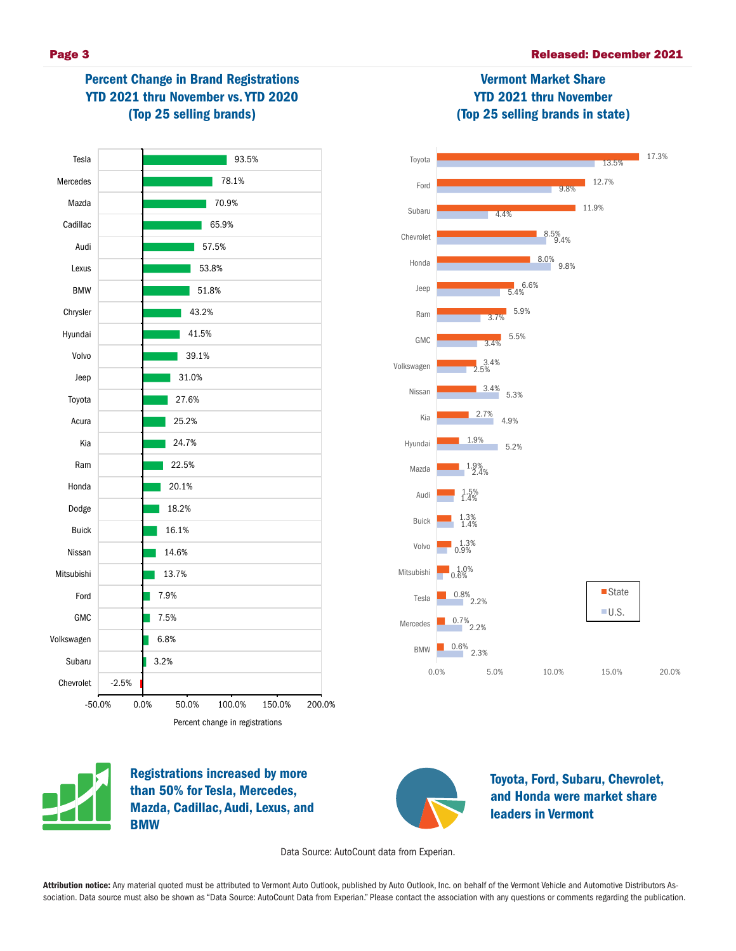# Percent Change in Brand Registrations YTD 2021 thru November vs. YTD 2020 (Top 25 selling brands)



#### 3.4% 3.7%  $5.4\%$ 9.8% 9.4% 8.5% 4.4% 9.8% 13.5% 5.5% 5.9% 8.0% 11.9% 12.7% 17.3% Chevrolet Subaru Ford Toyota

Vermont Market Share YTD 2021 thru November (Top 25 selling brands in state)

2.3%  $2.20$  $^{0.8\%}$ <sub>2.2</sub>% 0.6% 1.0% 0.9% 1.3% 1.4% 1.3% 1.4% 1.5% 2.4% 1.9% 5.2% 4.9% 5.3%  $\frac{3.4\%}{2.5\%}$ 0.6% 0.7% 1.9% 2.7% 3.4% 0.0% 5.0% 10.0% 15.0% 20.0% BMW Mercedes Tesla Mitsubishi Volvo Buick Audi Mazda Hyundai Kia Nissan Volkswagen GMC Ram Jeep Honda ■State  $U.S.$ 



Registrations increased by more than 50% for Tesla, Mercedes, Mazda, Cadillac, Audi, Lexus, and **BMW** 



Toyota, Ford, Subaru, Chevrolet, and Honda were market share leaders in Vermont

Data Source: AutoCount data from Experian.

Attribution notice: Any material quoted must be attributed to Vermont Auto Outlook, published by Auto Outlook, Inc. on behalf of the Vermont Vehicle and Automotive Distributors Association. Data source must also be shown as "Data Source: AutoCount Data from Experian." Please contact the association with any questions or comments regarding the publication.